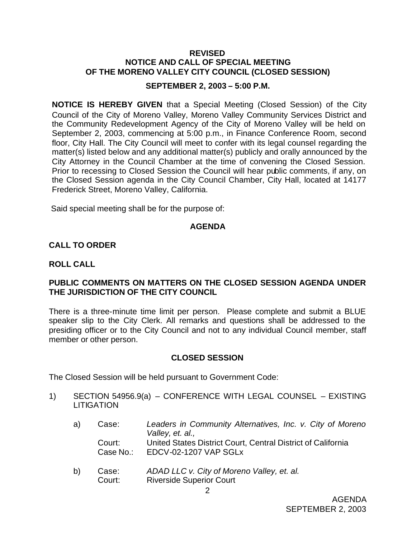### **REVISED NOTICE AND CALL OF SPECIAL MEETING OF THE MORENO VALLEY CITY COUNCIL (CLOSED SESSION)**

#### **SEPTEMBER 2, 2003 – 5:00 P.M.**

**NOTICE IS HEREBY GIVEN** that a Special Meeting (Closed Session) of the City Council of the City of Moreno Valley, Moreno Valley Community Services District and the Community Redevelopment Agency of the City of Moreno Valley will be held on September 2, 2003, commencing at 5:00 p.m., in Finance Conference Room, second floor, City Hall. The City Council will meet to confer with its legal counsel regarding the matter(s) listed below and any additional matter(s) publicly and orally announced by the City Attorney in the Council Chamber at the time of convening the Closed Session. Prior to recessing to Closed Session the Council will hear public comments, if any, on the Closed Session agenda in the City Council Chamber, City Hall, located at 14177 Frederick Street, Moreno Valley, California.

Said special meeting shall be for the purpose of:

## **AGENDA**

## **CALL TO ORDER**

### **ROLL CALL**

## **PUBLIC COMMENTS ON MATTERS ON THE CLOSED SESSION AGENDA UNDER THE JURISDICTION OF THE CITY COUNCIL**

There is a three-minute time limit per person. Please complete and submit a BLUE speaker slip to the City Clerk. All remarks and questions shall be addressed to the presiding officer or to the City Council and not to any individual Council member, staff member or other person.

## **CLOSED SESSION**

The Closed Session will be held pursuant to Government Code:

- 1) SECTION 54956.9(a) CONFERENCE WITH LEGAL COUNSEL EXISTING LITIGATION
	- a) Case: *Leaders in Community Alternatives, Inc. v. City of Moreno Valley, et. al.,* Court: United States District Court, Central District of California Case No.: EDCV-02-1207 VAP SGLx
	- b) Case: *ADAD LLC v. City of Moreno Valley, et. al.* Court: Riverside Superior Court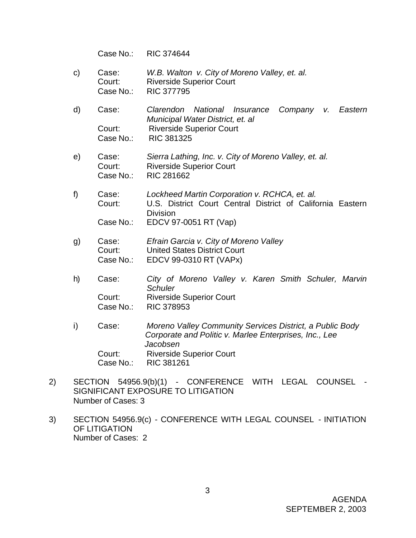Case No.: RIC 374644

- c) Case: *W.B. Walton v. City of Moreno Valley, et. al.* Court: Riverside Superior Court Case No.: RIC 377795
- d) Case: *Clarendon National Insurance Company v. Eastern Municipal Water District, et. al* Court: Riverside Superior Court Case No.: RIC 381325
- e) Case: *Sierra Lathing, Inc. v. City of Moreno Valley, et. al.* Court: Riverside Superior Court Case No.: RIC 281662
- f) Case: *Lockheed Martin Corporation v. RCHCA, et. al.* Court: U.S. District Court Central District of California Eastern **Division** Case No.: EDCV 97-0051 RT (Vap)
- g) Case: *Efrain Garcia v. City of Moreno Valley* Court: United States District Court Case No.: EDCV 99-0310 RT (VAPx)
- h) Case: *City of Moreno Valley v. Karen Smith Schuler, Marvin Schuler* Court: Riverside Superior Court Case No.: RIC 378953
- i) Case: *Moreno Valley Community Services District, a Public Body Corporate and Politic v. Marlee Enterprises, Inc., Lee Jacobsen* Court: Riverside Superior Court Case No.: RIC 381261
- 2) SECTION 54956.9(b)(1) CONFERENCE WITH LEGAL COUNSEL SIGNIFICANT EXPOSURE TO LITIGATION Number of Cases: 3
- 3) SECTION 54956.9(c) CONFERENCE WITH LEGAL COUNSEL INITIATION OF LITIGATION Number of Cases: 2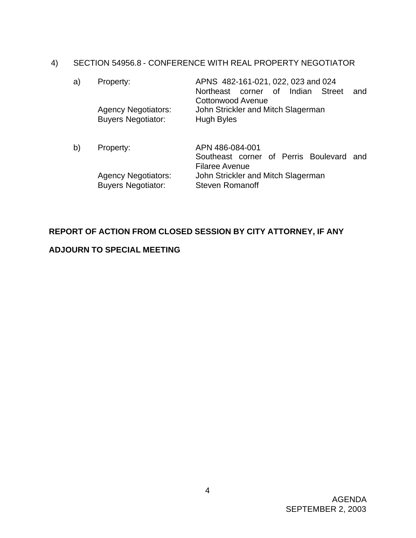# 4) SECTION 54956.8 - CONFERENCE WITH REAL PROPERTY NEGOTIATOR

| a) | Property:<br><b>Agency Negotiators:</b><br><b>Buyers Negotiator:</b> | APNS 482-161-021, 022, 023 and 024<br>Indian<br>Northeast corner of<br>Street<br>and<br><b>Cottonwood Avenue</b><br>John Strickler and Mitch Slagerman<br><b>Hugh Byles</b> |
|----|----------------------------------------------------------------------|-----------------------------------------------------------------------------------------------------------------------------------------------------------------------------|
| b) | Property:                                                            | APN 486-084-001<br>Southeast corner of Perris Boulevard and<br><b>Filaree Avenue</b>                                                                                        |

Agency Negotiators: John Strickler and Mitch Slagerman Buyers Negotiator: Steven Romanoff

# **REPORT OF ACTION FROM CLOSED SESSION BY CITY ATTORNEY, IF ANY**

# **ADJOURN TO SPECIAL MEETING**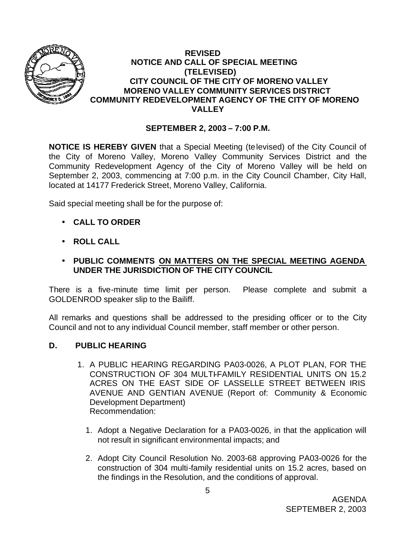

## **REVISED NOTICE AND CALL OF SPECIAL MEETING (TELEVISED) CITY COUNCIL OF THE CITY OF MORENO VALLEY MORENO VALLEY COMMUNITY SERVICES DISTRICT COMMUNITY REDEVELOPMENT AGENCY OF THE CITY OF MORENO VALLEY**

# **SEPTEMBER 2, 2003 – 7:00 P.M.**

**NOTICE IS HEREBY GIVEN** that a Special Meeting (televised) of the City Council of the City of Moreno Valley, Moreno Valley Community Services District and the Community Redevelopment Agency of the City of Moreno Valley will be held on September 2, 2003, commencing at 7:00 p.m. in the City Council Chamber, City Hall, located at 14177 Frederick Street, Moreno Valley, California.

Said special meeting shall be for the purpose of:

- **CALL TO ORDER**
- **ROLL CALL**
- **PUBLIC COMMENTS ON MATTERS ON THE SPECIAL MEETING AGENDA UNDER THE JURISDICTION OF THE CITY COUNCIL**

There is a five-minute time limit per person. Please complete and submit a GOLDENROD speaker slip to the Bailiff.

All remarks and questions shall be addressed to the presiding officer or to the City Council and not to any individual Council member, staff member or other person.

## **D. PUBLIC HEARING**

- 1. A PUBLIC HEARING REGARDING PA03-0026, A PLOT PLAN, FOR THE CONSTRUCTION OF 304 MULTI-FAMILY RESIDENTIAL UNITS ON 15.2 ACRES ON THE EAST SIDE OF LASSELLE STREET BETWEEN IRIS AVENUE AND GENTIAN AVENUE (Report of: Community & Economic Development Department) Recommendation:
	- 1. Adopt a Negative Declaration for a PA03-0026, in that the application will not result in significant environmental impacts; and
	- 2. Adopt City Council Resolution No. 2003-68 approving PA03-0026 for the construction of 304 multi-family residential units on 15.2 acres, based on the findings in the Resolution, and the conditions of approval.